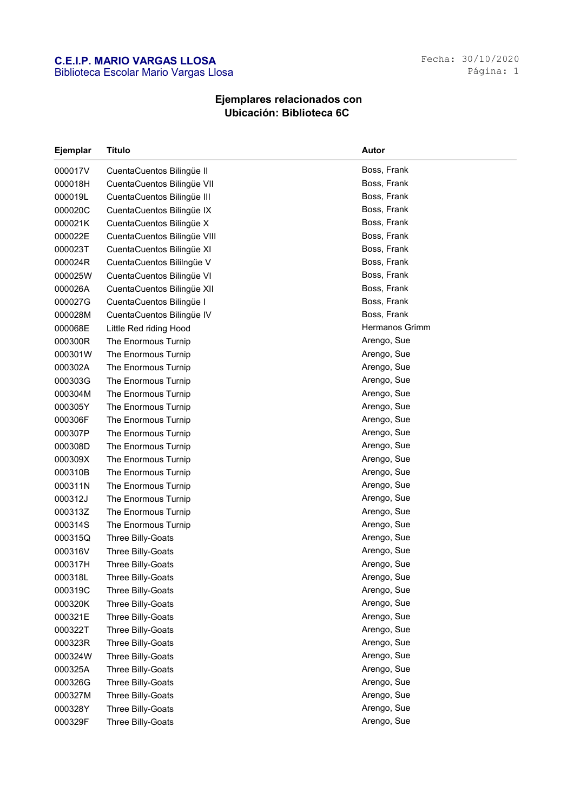## C.E.I.P. MARIO VARGAS LLOSA Biblioteca Escolar Mario Vargas Llosa

## Ejemplares relacionados con Ubicación: Biblioteca 6C

| <b>Ejemplar</b> | <b>Título</b>               | Autor          |
|-----------------|-----------------------------|----------------|
| 000017V         | CuentaCuentos Bilingüe II   | Boss, Frank    |
| 000018H         | CuentaCuentos Bilingüe VII  | Boss, Frank    |
| 000019L         | CuentaCuentos Bilingüe III  | Boss, Frank    |
| 000020C         | CuentaCuentos Bilingüe IX   | Boss, Frank    |
| 000021K         | CuentaCuentos Bilingüe X    | Boss, Frank    |
| 000022E         | CuentaCuentos Bilingüe VIII | Boss, Frank    |
| 000023T         | CuentaCuentos Bilingüe XI   | Boss, Frank    |
| 000024R         | CuentaCuentos Bililngüe V   | Boss, Frank    |
| 000025W         | CuentaCuentos Bilingüe VI   | Boss, Frank    |
| 000026A         | CuentaCuentos Bilingüe XII  | Boss, Frank    |
| 000027G         | CuentaCuentos Bilingüe I    | Boss, Frank    |
| 000028M         | CuentaCuentos Bilingüe IV   | Boss, Frank    |
| 000068E         | Little Red riding Hood      | Hermanos Grimm |
| 000300R         | The Enormous Turnip         | Arengo, Sue    |
| 000301W         | The Enormous Turnip         | Arengo, Sue    |
| 000302A         | The Enormous Turnip         | Arengo, Sue    |
| 000303G         | The Enormous Turnip         | Arengo, Sue    |
| 000304M         | The Enormous Turnip         | Arengo, Sue    |
| 000305Y         | The Enormous Turnip         | Arengo, Sue    |
| 000306F         | The Enormous Turnip         | Arengo, Sue    |
| 000307P         | The Enormous Turnip         | Arengo, Sue    |
| 000308D         | The Enormous Turnip         | Arengo, Sue    |
| 000309X         | The Enormous Turnip         | Arengo, Sue    |
| 000310B         | The Enormous Turnip         | Arengo, Sue    |
| 000311N         | The Enormous Turnip         | Arengo, Sue    |
| 000312J         | The Enormous Turnip         | Arengo, Sue    |
| 000313Z         | The Enormous Turnip         | Arengo, Sue    |
| 000314S         | The Enormous Turnip         | Arengo, Sue    |
| 000315Q         | Three Billy-Goats           | Arengo, Sue    |
| 000316V         | Three Billy-Goats           | Arengo, Sue    |
| 000317H         | Three Billy-Goats           | Arengo, Sue    |
| 000318L         | Three Billy-Goats           | Arengo, Sue    |
| 000319C         | Three Billy-Goats           | Arengo, Sue    |
| 000320K         | Three Billy-Goats           | Arengo, Sue    |
| 000321E         | Three Billy-Goats           | Arengo, Sue    |
| 000322T         | Three Billy-Goats           | Arengo, Sue    |
| 000323R         | Three Billy-Goats           | Arengo, Sue    |
| 000324W         | Three Billy-Goats           | Arengo, Sue    |
| 000325A         | Three Billy-Goats           | Arengo, Sue    |
| 000326G         | Three Billy-Goats           | Arengo, Sue    |
| 000327M         | Three Billy-Goats           | Arengo, Sue    |
| 000328Y         | Three Billy-Goats           | Arengo, Sue    |
| 000329F         | Three Billy-Goats           | Arengo, Sue    |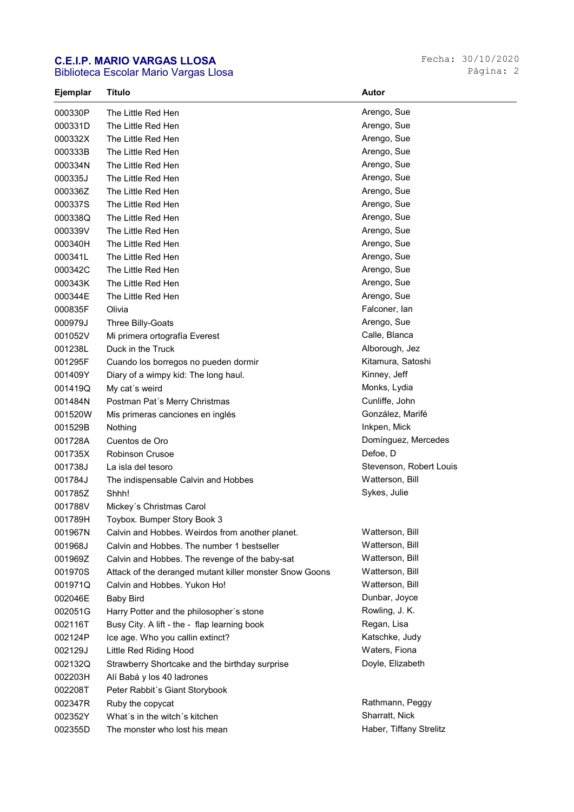## C.E.I.P. MARIO VARGAS LLOSA

Biblioteca Escolar Mario Vargas Llosa

| Ejemplar | Título                                                  | Autor                   |
|----------|---------------------------------------------------------|-------------------------|
| 000330P  | The Little Red Hen                                      | Arengo, Sue             |
| 000331D  | The Little Red Hen                                      | Arengo, Sue             |
| 000332X  | The Little Red Hen                                      | Arengo, Sue             |
| 000333B  | The Little Red Hen                                      | Arengo, Sue             |
| 000334N  | The Little Red Hen                                      | Arengo, Sue             |
| 000335J  | The Little Red Hen                                      | Arengo, Sue             |
| 000336Z  | The Little Red Hen                                      | Arengo, Sue             |
| 000337S  | The Little Red Hen                                      | Arengo, Sue             |
| 000338Q  | The Little Red Hen                                      | Arengo, Sue             |
| 000339V  | The Little Red Hen                                      | Arengo, Sue             |
| 000340H  | The Little Red Hen                                      | Arengo, Sue             |
| 000341L  | The Little Red Hen                                      | Arengo, Sue             |
| 000342C  | The Little Red Hen                                      | Arengo, Sue             |
| 000343K  | The Little Red Hen                                      | Arengo, Sue             |
| 000344E  | The Little Red Hen                                      | Arengo, Sue             |
| 000835F  | Olivia                                                  | Falconer, lan           |
| 000979J  | Three Billy-Goats                                       | Arengo, Sue             |
| 001052V  | Mi primera ortografía Everest                           | Calle, Blanca           |
| 001238L  | Duck in the Truck                                       | Alborough, Jez          |
| 001295F  | Cuando los borregos no pueden dormir                    | Kitamura, Satoshi       |
| 001409Y  | Diary of a wimpy kid: The long haul.                    | Kinney, Jeff            |
| 001419Q  | My cat's weird                                          | Monks, Lydia            |
| 001484N  | Postman Pat's Merry Christmas                           | Cunliffe, John          |
| 001520W  | Mis primeras canciones en inglés                        | González, Marifé        |
| 001529B  | Nothing                                                 | Inkpen, Mick            |
| 001728A  | Cuentos de Oro                                          | Domínguez, Mercedes     |
| 001735X  | <b>Robinson Crusoe</b>                                  | Defoe, D                |
| 001738J  | La isla del tesoro                                      | Stevenson, Robert Louis |
| 001784J  | The indispensable Calvin and Hobbes                     | Watterson, Bill         |
| 001785Z  | Shhh!                                                   | Sykes, Julie            |
| 001788V  | Mickey's Christmas Carol                                |                         |
| 001789H  | Toybox. Bumper Story Book 3                             |                         |
| 001967N  | Calvin and Hobbes. Weirdos from another planet.         | Watterson, Bill         |
| 001968J  | Calvin and Hobbes. The number 1 bestseller              | Watterson, Bill         |
| 001969Z  | Calvin and Hobbes. The revenge of the baby-sat          | Watterson, Bill         |
| 001970S  | Attack of the deranged mutant killer monster Snow Goons | Watterson, Bill         |
| 001971Q  | Calvin and Hobbes. Yukon Ho!                            | Watterson, Bill         |
| 002046E  | <b>Baby Bird</b>                                        | Dunbar, Joyce           |
| 002051G  | Harry Potter and the philosopher's stone                | Rowling, J. K.          |
| 002116T  | Busy City. A lift - the - flap learning book            | Regan, Lisa             |
| 002124P  | Ice age. Who you callin extinct?                        | Katschke, Judy          |
| 002129J  | Little Red Riding Hood                                  | Waters, Fiona           |
| 002132Q  | Strawberry Shortcake and the birthday surprise          | Doyle, Elizabeth        |
| 002203H  | Alí Babá y los 40 ladrones                              |                         |
| 002208T  | Peter Rabbit's Giant Storybook                          |                         |
| 002347R  | Ruby the copycat                                        | Rathmann, Peggy         |
| 002352Y  | What's in the witch's kitchen                           | Sharratt, Nick          |
| 002355D  | The monster who lost his mean                           | Haber, Tiffany Strelitz |